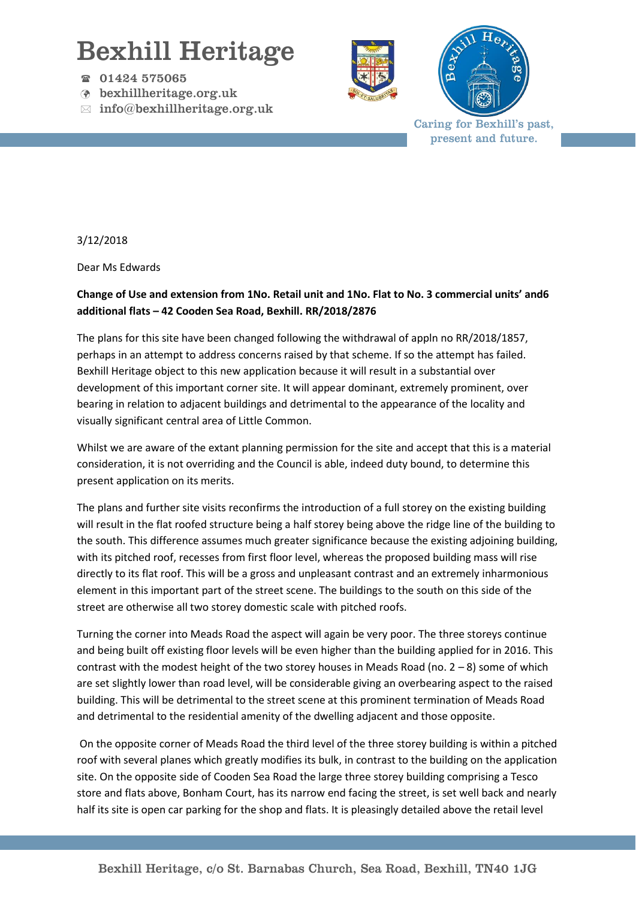## Bexhill Heritage

- 01424 575065
- bexhillheritage.org.uk
- $\boxtimes$  info@bexhillheritage.org.uk





Caring for Bexhill's past, present and future.

3/12/2018

Dear Ms Edwards

## **Change of Use and extension from 1No. Retail unit and 1No. Flat to No. 3 commercial units' and6 additional flats – 42 Cooden Sea Road, Bexhill. RR/2018/2876**

The plans for this site have been changed following the withdrawal of appln no RR/2018/1857, perhaps in an attempt to address concerns raised by that scheme. If so the attempt has failed. Bexhill Heritage object to this new application because it will result in a substantial over development of this important corner site. It will appear dominant, extremely prominent, over bearing in relation to adjacent buildings and detrimental to the appearance of the locality and visually significant central area of Little Common.

Whilst we are aware of the extant planning permission for the site and accept that this is a material consideration, it is not overriding and the Council is able, indeed duty bound, to determine this present application on its merits.

The plans and further site visits reconfirms the introduction of a full storey on the existing building will result in the flat roofed structure being a half storey being above the ridge line of the building to the south. This difference assumes much greater significance because the existing adjoining building, with its pitched roof, recesses from first floor level, whereas the proposed building mass will rise directly to its flat roof. This will be a gross and unpleasant contrast and an extremely inharmonious element in this important part of the street scene. The buildings to the south on this side of the street are otherwise all two storey domestic scale with pitched roofs.

Turning the corner into Meads Road the aspect will again be very poor. The three storeys continue and being built off existing floor levels will be even higher than the building applied for in 2016. This contrast with the modest height of the two storey houses in Meads Road (no. 2 – 8) some of which are set slightly lower than road level, will be considerable giving an overbearing aspect to the raised building. This will be detrimental to the street scene at this prominent termination of Meads Road and detrimental to the residential amenity of the dwelling adjacent and those opposite.

On the opposite corner of Meads Road the third level of the three storey building is within a pitched roof with several planes which greatly modifies its bulk, in contrast to the building on the application site. On the opposite side of Cooden Sea Road the large three storey building comprising a Tesco store and flats above, Bonham Court, has its narrow end facing the street, is set well back and nearly half its site is open car parking for the shop and flats. It is pleasingly detailed above the retail level